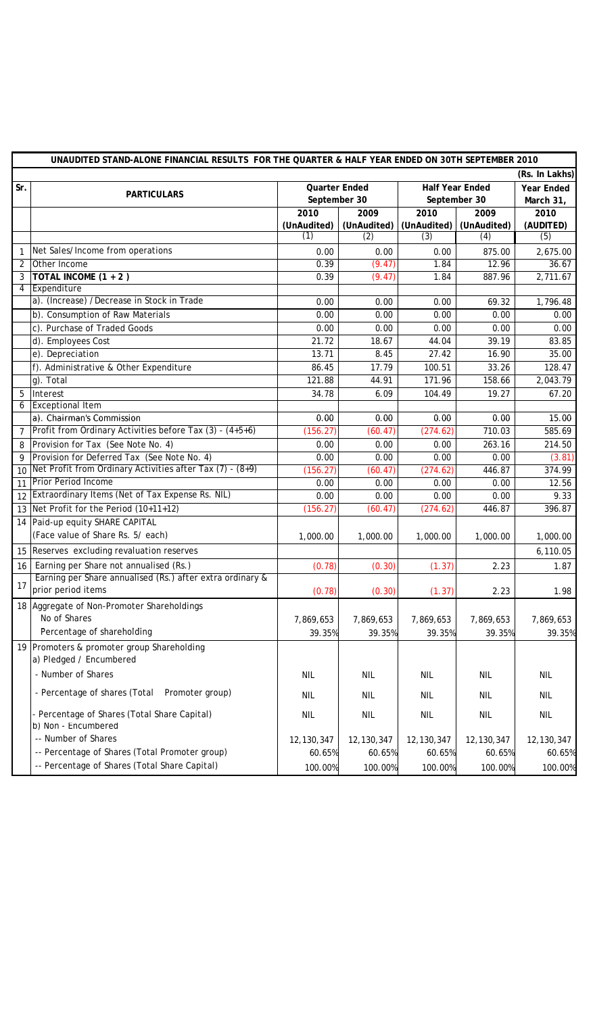|                | UNAUDITED STAND-ALONE FINANCIAL RESULTS FOR THE QUARTER & HALF YEAR ENDED ON 30TH SEPTEMBER 2010 |                      |                  |                |                        |                   |  |  |  |  |
|----------------|--------------------------------------------------------------------------------------------------|----------------------|------------------|----------------|------------------------|-------------------|--|--|--|--|
|                | (Rs. In Lakhs)                                                                                   |                      |                  |                |                        |                   |  |  |  |  |
| Sr.            |                                                                                                  | <b>Quarter Ended</b> |                  |                | <b>Half Year Ended</b> | <b>Year Ended</b> |  |  |  |  |
|                | <b>PARTICULARS</b>                                                                               | September 30         |                  | September 30   |                        | March 31,         |  |  |  |  |
|                |                                                                                                  | 2010                 | 2009             | 2010           | 2009                   | 2010              |  |  |  |  |
|                |                                                                                                  | (UnAudited)          | (UnAudited)      | (UnAudited)    | (UnAudited)            | (AUDITED)         |  |  |  |  |
|                |                                                                                                  | (1)                  | $\overline{(2)}$ | $\overline{3}$ | (4)                    | (5)               |  |  |  |  |
| 1              | Net Sales/Income from operations                                                                 | 0.00                 | 0.00             | 0.00           | 875.00                 | 2,675.00          |  |  |  |  |
| 2              | Other Income                                                                                     | 0.39                 | (9.47)           | 1.84           | 12.96                  | 36.67             |  |  |  |  |
| $\mathfrak{Z}$ | <b>TOTAL INCOME <math>(1 + 2)</math></b>                                                         | 0.39                 | (9.47)           | 1.84           | 887.96                 | 2,711.67          |  |  |  |  |
| $\overline{4}$ | Expenditure                                                                                      |                      |                  |                |                        |                   |  |  |  |  |
|                | a). (Increase) /Decrease in Stock in Trade                                                       | 0.00                 | 0.00             | 0.00           | 69.32                  | 1,796.48          |  |  |  |  |
|                | b). Consumption of Raw Materials                                                                 | 0.00                 | 0.00             | 0.00           | 0.00                   | 0.00              |  |  |  |  |
|                | c). Purchase of Traded Goods                                                                     | 0.00                 | 0.00             | 0.00           | 0.00                   | 0.00              |  |  |  |  |
|                | d). Employees Cost                                                                               | 21.72                | 18.67            | 44.04          | 39.19                  | 83.85             |  |  |  |  |
|                | e). Depreciation                                                                                 | 13.71                | 8.45             | 27.42          | 16.90                  | 35.00             |  |  |  |  |
|                | f). Administrative & Other Expenditure                                                           | 86.45                | 17.79            | 100.51         | 33.26                  | 128.47            |  |  |  |  |
|                | g). Total                                                                                        | 121.88               | 44.91            | 171.96         | 158.66                 | 2,043.79          |  |  |  |  |
| 5              | Interest                                                                                         | 34.78                | 6.09             | 104.49         | 19.27                  | 67.20             |  |  |  |  |
| 6              | <b>Exceptional Item</b>                                                                          |                      |                  |                |                        |                   |  |  |  |  |
|                | a). Chairman's Commission                                                                        | 0.00                 | 0.00             | 0.00           | 0.00                   | 15.00             |  |  |  |  |
| $\overline{7}$ | Profit from Ordinary Activities before Tax (3) - (4+5+6)                                         | (156.27)             | (60.47)          | (274.62)       | 710.03                 | 585.69            |  |  |  |  |
| 8              | Provision for Tax (See Note No. 4)                                                               | 0.00                 | 0.00             | 0.00           | 263.16                 | 214.50            |  |  |  |  |
| 9              | Provision for Deferred Tax (See Note No. 4)                                                      | 0.00                 | 0.00             | 0.00           | 0.00                   | (3.81)            |  |  |  |  |
| 10             | Net Profit from Ordinary Activities after Tax (7) - (8+9)                                        | (156.27)             | (60.47)          | (274.62)       | 446.87                 | 374.99            |  |  |  |  |
| 11             | <b>Prior Period Income</b>                                                                       | 0.00                 | 0.00             | 0.00           | 0.00                   | 12.56             |  |  |  |  |
|                | 12 Extraordinary Items (Net of Tax Expense Rs. NIL)                                              | 0.00                 | 0.00             | 0.00           | 0.00                   | 9.33              |  |  |  |  |
|                | 13 Net Profit for the Period (10+11+12)                                                          | (156.27)             | (60.47)          | (274.62)       | 446.87                 | 396.87            |  |  |  |  |
|                | 14 Paid-up equity SHARE CAPITAL                                                                  |                      |                  |                |                        |                   |  |  |  |  |
|                | (Face value of Share Rs. 5/ each)                                                                | 1,000.00             | 1,000.00         | 1,000.00       | 1,000.00               | 1,000.00          |  |  |  |  |
|                | 15 Reserves excluding revaluation reserves                                                       |                      |                  |                |                        | 6,110.05          |  |  |  |  |
| 16             | Earning per Share not annualised (Rs.)                                                           | (0.78)               | (0.30)           | (1.37)         | 2.23                   | 1.87              |  |  |  |  |
|                | Earning per Share annualised (Rs.) after extra ordinary &                                        |                      |                  |                |                        |                   |  |  |  |  |
| 17             | prior period items                                                                               | (0.78)               | (0.30)           | (1.37)         | 2.23                   | 1.98              |  |  |  |  |
|                | 18 Aggregate of Non-Promoter Shareholdings                                                       |                      |                  |                |                        |                   |  |  |  |  |
|                | No of Shares                                                                                     | 7,869,653            | 7,869,653        | 7,869,653      | 7,869,653              | 7,869,653         |  |  |  |  |
|                | Percentage of shareholding                                                                       | 39.35%               | 39.35%           | 39.35%         | 39.35%                 | 39.35%            |  |  |  |  |
|                | 19 Promoters & promoter group Shareholding                                                       |                      |                  |                |                        |                   |  |  |  |  |
|                | a) Pledged / Encumbered                                                                          |                      |                  |                |                        |                   |  |  |  |  |
|                | - Number of Shares                                                                               | <b>NIL</b>           | <b>NIL</b>       | <b>NIL</b>     | <b>NIL</b>             | <b>NIL</b>        |  |  |  |  |
|                |                                                                                                  |                      |                  |                |                        |                   |  |  |  |  |
|                | - Percentage of shares (Total Promoter group)                                                    | <b>NIL</b>           | <b>NIL</b>       | NIL            | <b>NIL</b>             | <b>NIL</b>        |  |  |  |  |
|                | - Percentage of Shares (Total Share Capital)                                                     | <b>NIL</b>           | <b>NIL</b>       | <b>NIL</b>     | <b>NIL</b>             | <b>NIL</b>        |  |  |  |  |
|                | b) Non - Encumbered                                                                              |                      |                  |                |                        |                   |  |  |  |  |
|                | -- Number of Shares                                                                              | 12, 130, 347         | 12, 130, 347     | 12, 130, 347   | 12, 130, 347           | 12, 130, 347      |  |  |  |  |
|                | -- Percentage of Shares (Total Promoter group)                                                   | 60.65%               | 60.65%           | 60.65%         | 60.65%                 | 60.65%            |  |  |  |  |
|                | -- Percentage of Shares (Total Share Capital)                                                    | 100.00%              | 100.00%          | 100.00%        | 100.00%                | 100.00%           |  |  |  |  |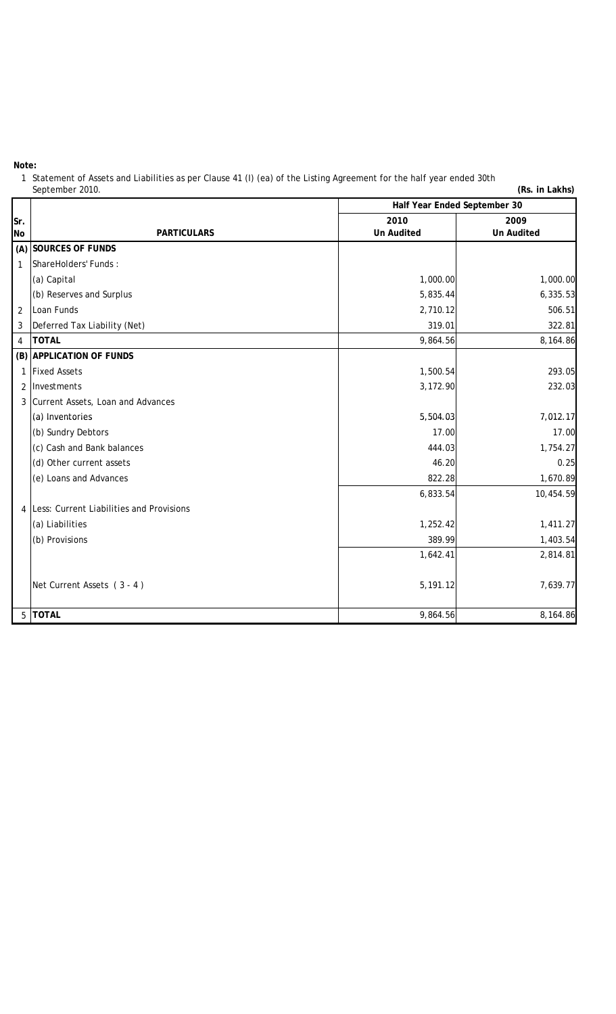## **Note:**

1 Statement of Assets and Liabilities as per Clause 41 (I) (ea) of the Listing Agreement for the half year ended 30th September 2010. **(Rs. in Lakhs)**

|                |                                            | Half Year Ended September 30 |                   |  |  |
|----------------|--------------------------------------------|------------------------------|-------------------|--|--|
| Sr.            |                                            | 2010                         | 2009              |  |  |
| No             | <b>PARTICULARS</b>                         | <b>Un Audited</b>            | <b>Un Audited</b> |  |  |
|                | (A) SOURCES OF FUNDS                       |                              |                   |  |  |
| 1              | ShareHolders' Funds:                       |                              |                   |  |  |
|                | (a) Capital                                | 1,000.00                     | 1,000.00          |  |  |
|                | (b) Reserves and Surplus                   | 5,835.44                     | 6,335.53          |  |  |
| $\overline{2}$ | Loan Funds                                 | 2,710.12                     | 506.51            |  |  |
| 3              | Deferred Tax Liability (Net)               | 319.01                       | 322.81            |  |  |
| 4              | <b>TOTAL</b>                               | 9,864.56                     | 8,164.86          |  |  |
|                | (B) APPLICATION OF FUNDS                   |                              |                   |  |  |
| 1              | <b>Fixed Assets</b>                        | 1,500.54                     | 293.05            |  |  |
| 2              | Investments                                | 3,172.90                     | 232.03            |  |  |
| 3              | Current Assets, Loan and Advances          |                              |                   |  |  |
|                | (a) Inventories                            | 5,504.03                     | 7,012.17          |  |  |
|                | (b) Sundry Debtors                         | 17.00                        | 17.00             |  |  |
|                | (c) Cash and Bank balances                 | 444.03                       | 1,754.27          |  |  |
|                | (d) Other current assets                   | 46.20                        | 0.25              |  |  |
|                | (e) Loans and Advances                     | 822.28                       | 1,670.89          |  |  |
|                |                                            | 6,833.54                     | 10,454.59         |  |  |
|                | 4 Less: Current Liabilities and Provisions |                              |                   |  |  |
|                | (a) Liabilities                            | 1,252.42                     | 1,411.27          |  |  |
|                | (b) Provisions                             | 389.99                       | 1,403.54          |  |  |
|                |                                            | 1,642.41                     | 2,814.81          |  |  |
|                | Net Current Assets (3 - 4)                 | 5,191.12                     | 7,639.77          |  |  |
|                | 5 TOTAL                                    | 9,864.56                     | 8,164.86          |  |  |